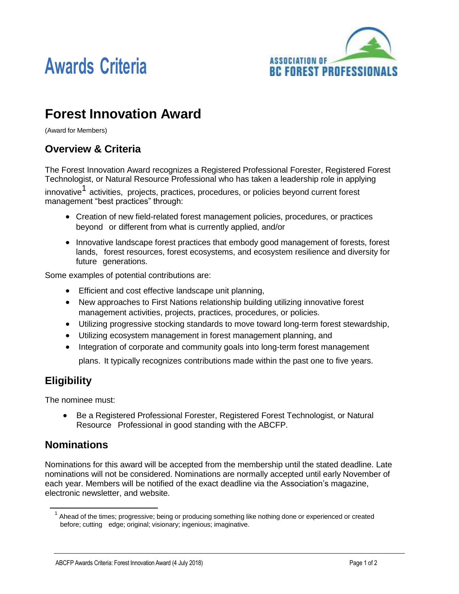



# **Forest Innovation Award**

(Award for Members)

### **Overview & Criteria**

The Forest Innovation Award recognizes a Registered Professional Forester, Registered Forest Technologist, or Natural Resource Professional who has taken a leadership role in applying

innovative<sup>1</sup> activities, projects, practices, procedures, or policies beyond current forest management "best practices" through:

- Creation of new field-related forest management policies, procedures, or practices beyond or different from what is currently applied, and/or
- Innovative landscape forest practices that embody good management of forests, forest lands, forest resources, forest ecosystems, and ecosystem resilience and diversity for future generations.

Some examples of potential contributions are:

- Efficient and cost effective landscape unit planning,
- New approaches to First Nations relationship building utilizing innovative forest management activities, projects, practices, procedures, or policies.
- Utilizing progressive stocking standards to move toward long-term forest stewardship,
- Utilizing ecosystem management in forest management planning, and
- Integration of corporate and community goals into long-term forest management

plans. It typically recognizes contributions made within the past one to five years.

## **Eligibility**

The nominee must:

 Be a Registered Professional Forester, Registered Forest Technologist, or Natural Resource Professional in good standing with the ABCFP.

### **Nominations**

Nominations for this award will be accepted from the membership until the stated deadline. Late nominations will not be considered. Nominations are normally accepted until early November of each year. Members will be notified of the exact deadline via the Association's magazine, electronic newsletter, and website.

 $1$  Ahead of the times; progressive; being or producing something like nothing done or experienced or created before; cutting edge; original; visionary; ingenious; imaginative.